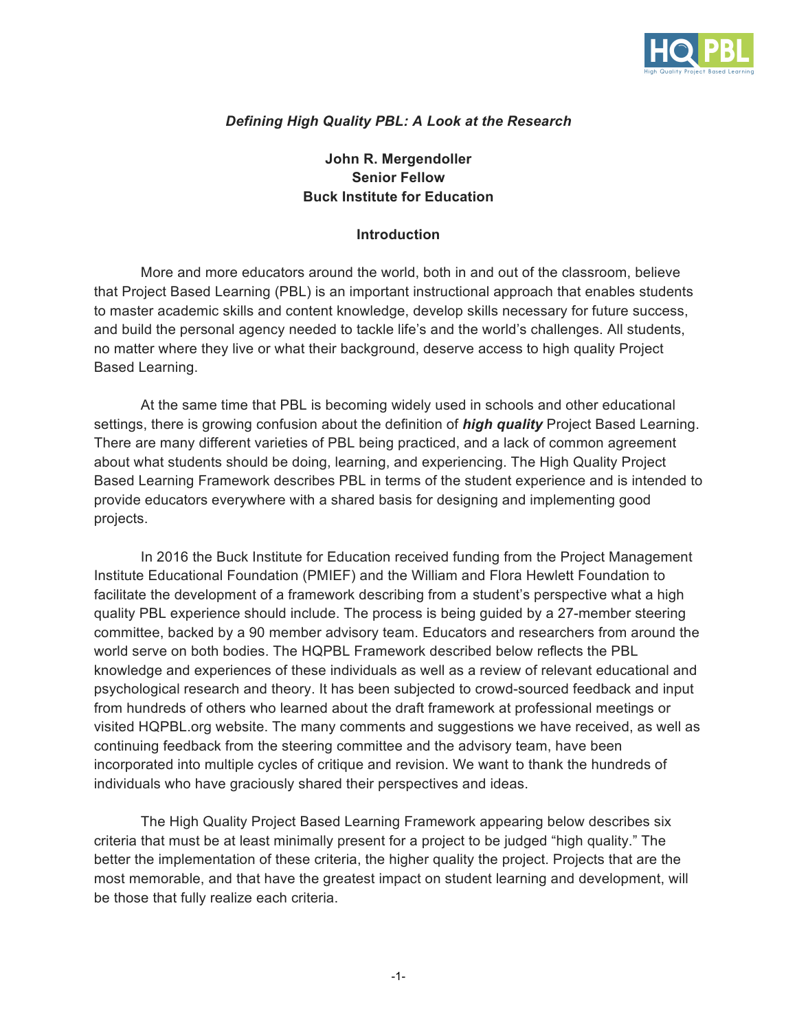

## *Defining High Quality PBL: A Look at the Research*

# **John R. Mergendoller Senior Fellow Buck Institute for Education**

#### **Introduction**

More and more educators around the world, both in and out of the classroom, believe that Project Based Learning (PBL) is an important instructional approach that enables students to master academic skills and content knowledge, develop skills necessary for future success, and build the personal agency needed to tackle life's and the world's challenges. All students, no matter where they live or what their background, deserve access to high quality Project Based Learning.

At the same time that PBL is becoming widely used in schools and other educational settings, there is growing confusion about the definition of *high quality* Project Based Learning. There are many different varieties of PBL being practiced, and a lack of common agreement about what students should be doing, learning, and experiencing. The High Quality Project Based Learning Framework describes PBL in terms of the student experience and is intended to provide educators everywhere with a shared basis for designing and implementing good projects.

In 2016 the Buck Institute for Education received funding from the Project Management Institute Educational Foundation (PMIEF) and the William and Flora Hewlett Foundation to facilitate the development of a framework describing from a student's perspective what a high quality PBL experience should include. The process is being guided by a 27-member steering committee, backed by a 90 member advisory team. Educators and researchers from around the world serve on both bodies. The HQPBL Framework described below reflects the PBL knowledge and experiences of these individuals as well as a review of relevant educational and psychological research and theory. It has been subjected to crowd-sourced feedback and input from hundreds of others who learned about the draft framework at professional meetings or visited HQPBL.org website. The many comments and suggestions we have received, as well as continuing feedback from the steering committee and the advisory team, have been incorporated into multiple cycles of critique and revision. We want to thank the hundreds of individuals who have graciously shared their perspectives and ideas.

The High Quality Project Based Learning Framework appearing below describes six criteria that must be at least minimally present for a project to be judged "high quality." The better the implementation of these criteria, the higher quality the project. Projects that are the most memorable, and that have the greatest impact on student learning and development, will be those that fully realize each criteria.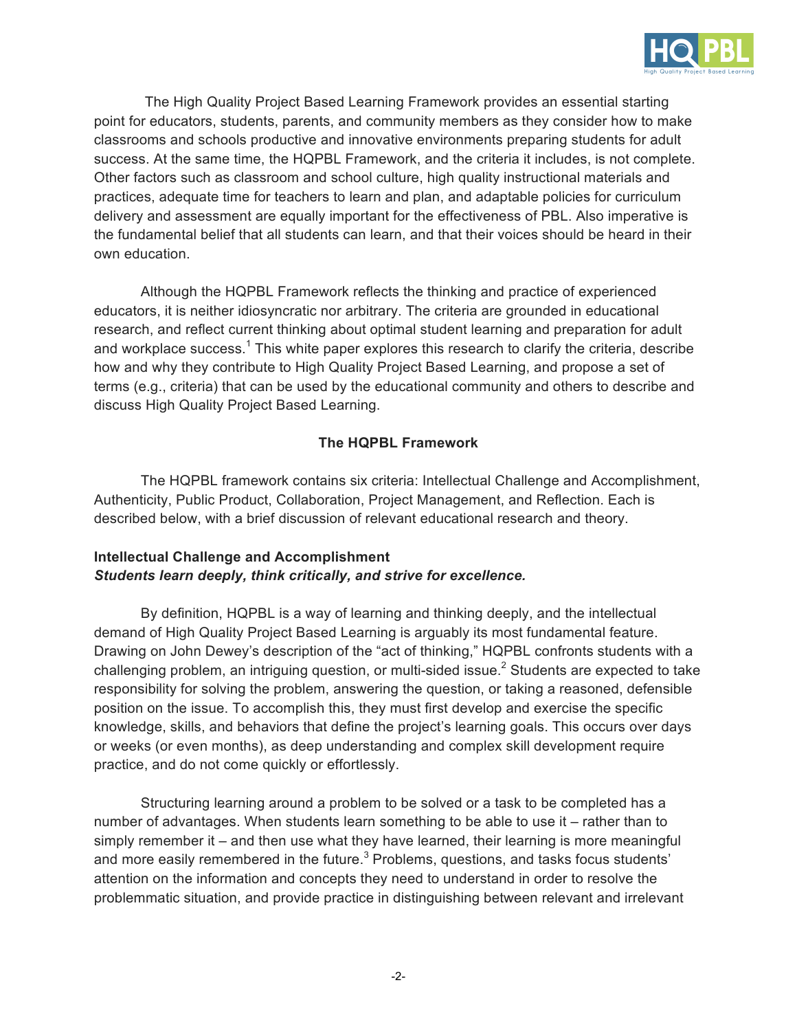

The High Quality Project Based Learning Framework provides an essential starting point for educators, students, parents, and community members as they consider how to make classrooms and schools productive and innovative environments preparing students for adult success. At the same time, the HQPBL Framework, and the criteria it includes, is not complete. Other factors such as classroom and school culture, high quality instructional materials and practices, adequate time for teachers to learn and plan, and adaptable policies for curriculum delivery and assessment are equally important for the effectiveness of PBL. Also imperative is the fundamental belief that all students can learn, and that their voices should be heard in their own education.

Although the HQPBL Framework reflects the thinking and practice of experienced educators, it is neither idiosyncratic nor arbitrary. The criteria are grounded in educational research, and reflect current thinking about optimal student learning and preparation for adult and workplace success.<sup>1</sup> This white paper explores this research to clarify the criteria, describe how and why they contribute to High Quality Project Based Learning, and propose a set of terms (e.g., criteria) that can be used by the educational community and others to describe and discuss High Quality Project Based Learning.

## **The HQPBL Framework**

The HQPBL framework contains six criteria: Intellectual Challenge and Accomplishment, Authenticity, Public Product, Collaboration, Project Management, and Reflection. Each is described below, with a brief discussion of relevant educational research and theory.

## **Intellectual Challenge and Accomplishment** *Students learn deeply, think critically, and strive for excellence.*

By definition, HQPBL is a way of learning and thinking deeply, and the intellectual demand of High Quality Project Based Learning is arguably its most fundamental feature. Drawing on John Dewey's description of the "act of thinking," HQPBL confronts students with a challenging problem, an intriguing question, or multi-sided issue.<sup>2</sup> Students are expected to take responsibility for solving the problem, answering the question, or taking a reasoned, defensible position on the issue. To accomplish this, they must first develop and exercise the specific knowledge, skills, and behaviors that define the project's learning goals. This occurs over days or weeks (or even months), as deep understanding and complex skill development require practice, and do not come quickly or effortlessly.

Structuring learning around a problem to be solved or a task to be completed has a number of advantages. When students learn something to be able to use it – rather than to simply remember it – and then use what they have learned, their learning is more meaningful and more easily remembered in the future. $3$  Problems, questions, and tasks focus students' attention on the information and concepts they need to understand in order to resolve the problemmatic situation, and provide practice in distinguishing between relevant and irrelevant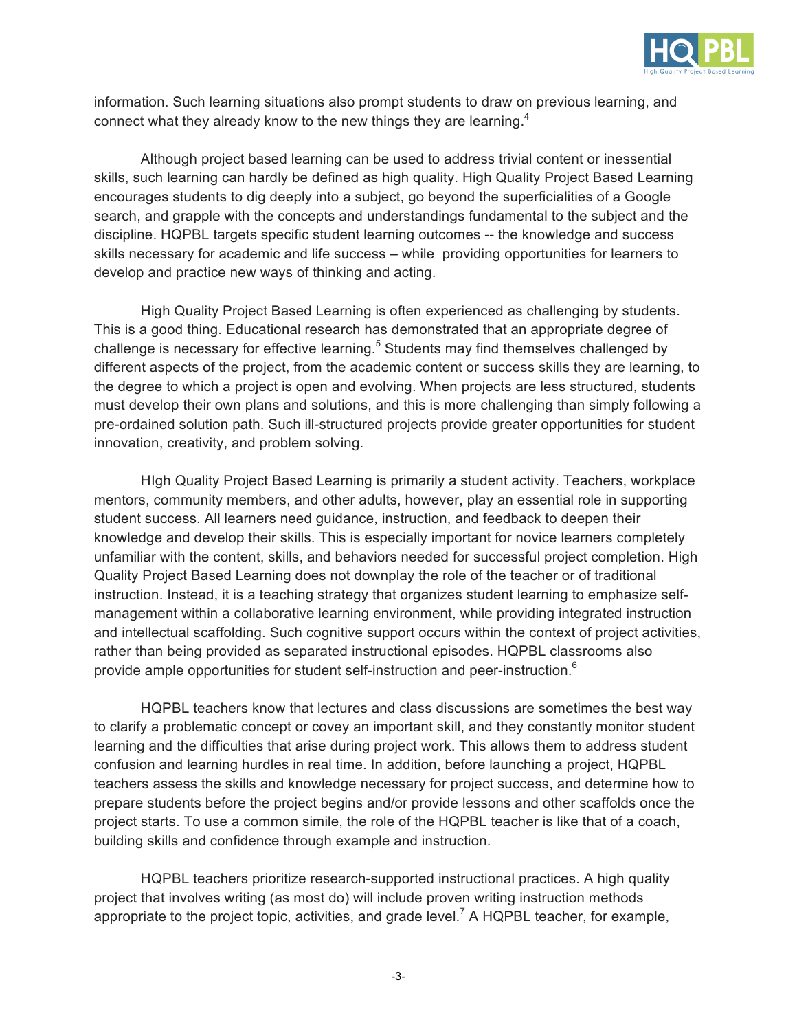

information. Such learning situations also prompt students to draw on previous learning, and connect what they already know to the new things they are learning.<sup>4</sup>

Although project based learning can be used to address trivial content or inessential skills, such learning can hardly be defined as high quality. High Quality Project Based Learning encourages students to dig deeply into a subject, go beyond the superficialities of a Google search, and grapple with the concepts and understandings fundamental to the subject and the discipline. HQPBL targets specific student learning outcomes -- the knowledge and success skills necessary for academic and life success – while providing opportunities for learners to develop and practice new ways of thinking and acting.

High Quality Project Based Learning is often experienced as challenging by students. This is a good thing. Educational research has demonstrated that an appropriate degree of challenge is necessary for effective learning.<sup>5</sup> Students may find themselves challenged by different aspects of the project, from the academic content or success skills they are learning, to the degree to which a project is open and evolving. When projects are less structured, students must develop their own plans and solutions, and this is more challenging than simply following a pre-ordained solution path. Such ill-structured projects provide greater opportunities for student innovation, creativity, and problem solving.

HIgh Quality Project Based Learning is primarily a student activity. Teachers, workplace mentors, community members, and other adults, however, play an essential role in supporting student success. All learners need guidance, instruction, and feedback to deepen their knowledge and develop their skills. This is especially important for novice learners completely unfamiliar with the content, skills, and behaviors needed for successful project completion. High Quality Project Based Learning does not downplay the role of the teacher or of traditional instruction. Instead, it is a teaching strategy that organizes student learning to emphasize selfmanagement within a collaborative learning environment, while providing integrated instruction and intellectual scaffolding. Such cognitive support occurs within the context of project activities, rather than being provided as separated instructional episodes. HQPBL classrooms also provide ample opportunities for student self-instruction and peer-instruction. $^6$ 

HQPBL teachers know that lectures and class discussions are sometimes the best way to clarify a problematic concept or covey an important skill, and they constantly monitor student learning and the difficulties that arise during project work. This allows them to address student confusion and learning hurdles in real time. In addition, before launching a project, HQPBL teachers assess the skills and knowledge necessary for project success, and determine how to prepare students before the project begins and/or provide lessons and other scaffolds once the project starts. To use a common simile, the role of the HQPBL teacher is like that of a coach, building skills and confidence through example and instruction.

HQPBL teachers prioritize research-supported instructional practices. A high quality project that involves writing (as most do) will include proven writing instruction methods appropriate to the project topic, activities, and grade level.<sup>7</sup> A HQPBL teacher, for example,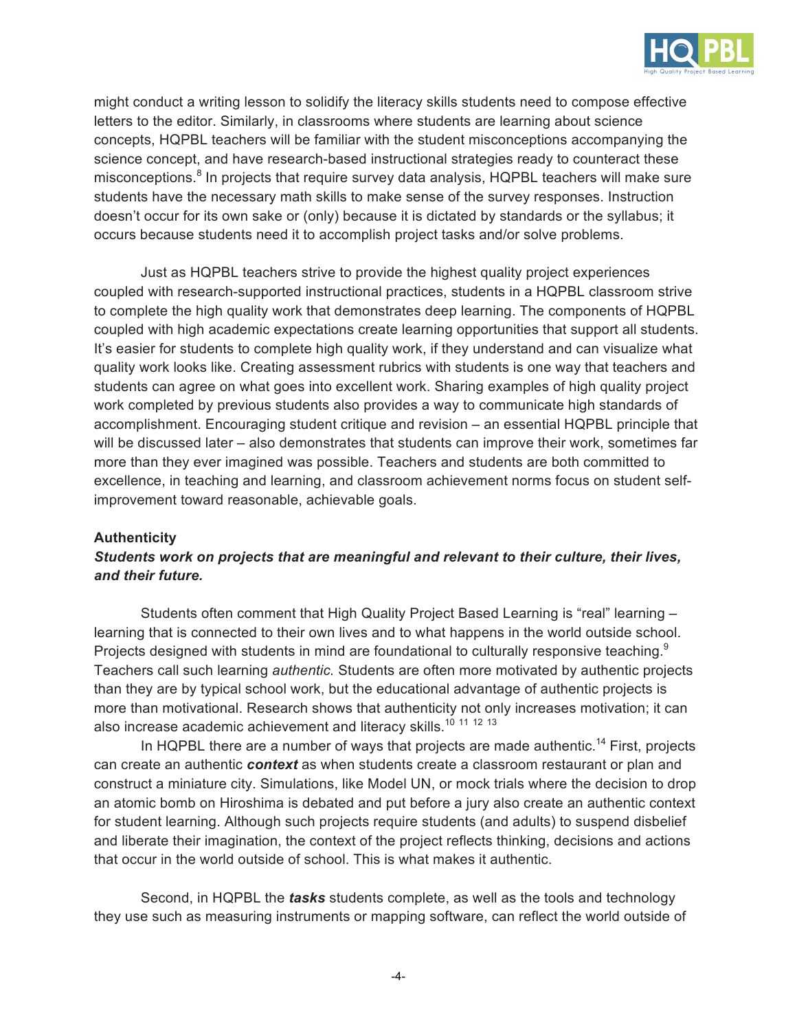

might conduct a writing lesson to solidify the literacy skills students need to compose effective letters to the editor. Similarly, in classrooms where students are learning about science concepts, HQPBL teachers will be familiar with the student misconceptions accompanying the science concept, and have research-based instructional strategies ready to counteract these misconceptions.<sup>8</sup> In projects that require survey data analysis, HQPBL teachers will make sure students have the necessary math skills to make sense of the survey responses. Instruction doesn't occur for its own sake or (only) because it is dictated by standards or the syllabus; it occurs because students need it to accomplish project tasks and/or solve problems.

Just as HQPBL teachers strive to provide the highest quality project experiences coupled with research-supported instructional practices, students in a HQPBL classroom strive to complete the high quality work that demonstrates deep learning. The components of HQPBL coupled with high academic expectations create learning opportunities that support all students. It's easier for students to complete high quality work, if they understand and can visualize what quality work looks like. Creating assessment rubrics with students is one way that teachers and students can agree on what goes into excellent work. Sharing examples of high quality project work completed by previous students also provides a way to communicate high standards of accomplishment. Encouraging student critique and revision – an essential HQPBL principle that will be discussed later – also demonstrates that students can improve their work, sometimes far more than they ever imagined was possible. Teachers and students are both committed to excellence, in teaching and learning, and classroom achievement norms focus on student selfimprovement toward reasonable, achievable goals.

### **Authenticity**

## *Students work on projects that are meaningful and relevant to their culture, their lives, and their future.*

Students often comment that High Quality Project Based Learning is "real" learning learning that is connected to their own lives and to what happens in the world outside school. Projects designed with students in mind are foundational to culturally responsive teaching.<sup>9</sup> Teachers call such learning *authentic.* Students are often more motivated by authentic projects than they are by typical school work, but the educational advantage of authentic projects is more than motivational. Research shows that authenticity not only increases motivation; it can also increase academic achievement and literacy skills.<sup>10 11 12 13</sup>

In HQPBL there are a number of ways that projects are made authentic.<sup>14</sup> First, projects can create an authentic *context* as when students create a classroom restaurant or plan and construct a miniature city. Simulations, like Model UN, or mock trials where the decision to drop an atomic bomb on Hiroshima is debated and put before a jury also create an authentic context for student learning. Although such projects require students (and adults) to suspend disbelief and liberate their imagination, the context of the project reflects thinking, decisions and actions that occur in the world outside of school. This is what makes it authentic.

Second, in HQPBL the *tasks* students complete, as well as the tools and technology they use such as measuring instruments or mapping software, can reflect the world outside of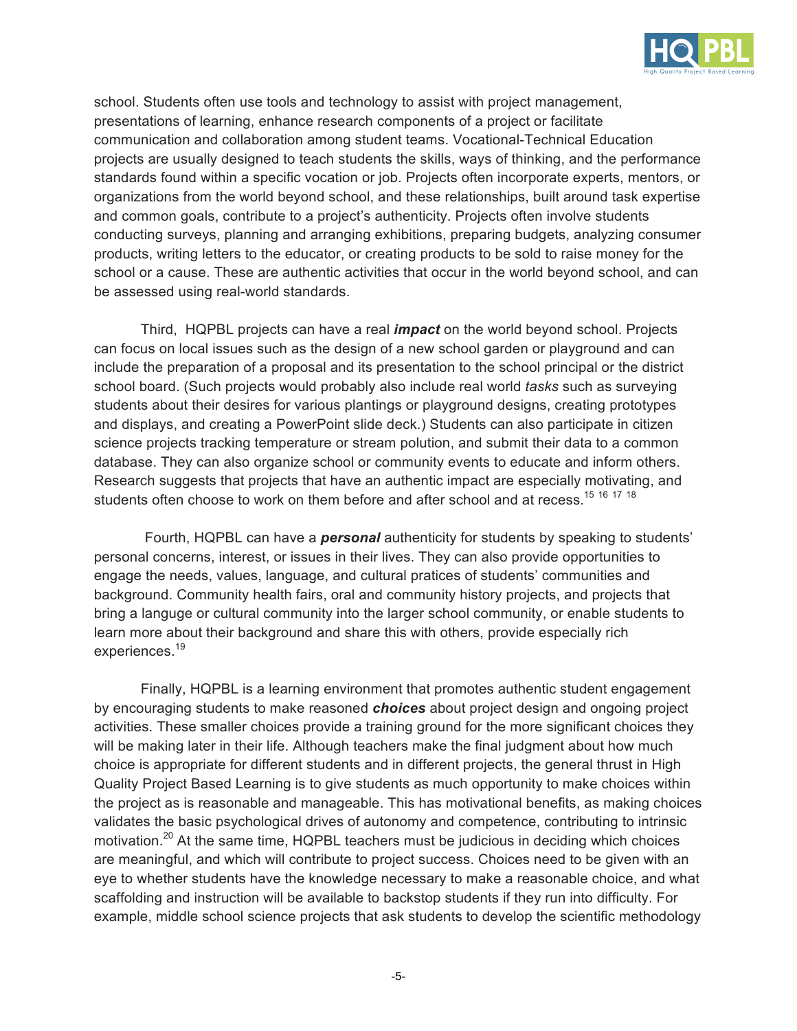

school. Students often use tools and technology to assist with project management, presentations of learning, enhance research components of a project or facilitate communication and collaboration among student teams. Vocational-Technical Education projects are usually designed to teach students the skills, ways of thinking, and the performance standards found within a specific vocation or job. Projects often incorporate experts, mentors, or organizations from the world beyond school, and these relationships, built around task expertise and common goals, contribute to a project's authenticity. Projects often involve students conducting surveys, planning and arranging exhibitions, preparing budgets, analyzing consumer products, writing letters to the educator, or creating products to be sold to raise money for the school or a cause. These are authentic activities that occur in the world beyond school, and can be assessed using real-world standards.

Third, HQPBL projects can have a real *impact* on the world beyond school. Projects can focus on local issues such as the design of a new school garden or playground and can include the preparation of a proposal and its presentation to the school principal or the district school board. (Such projects would probably also include real world *tasks* such as surveying students about their desires for various plantings or playground designs, creating prototypes and displays, and creating a PowerPoint slide deck.) Students can also participate in citizen science projects tracking temperature or stream polution, and submit their data to a common database. They can also organize school or community events to educate and inform others. Research suggests that projects that have an authentic impact are especially motivating, and students often choose to work on them before and after school and at recess.<sup>15 16</sup> <sup>17 18</sup>

Fourth, HQPBL can have a *personal* authenticity for students by speaking to students' personal concerns, interest, or issues in their lives. They can also provide opportunities to engage the needs, values, language, and cultural pratices of students' communities and background. Community health fairs, oral and community history projects, and projects that bring a languge or cultural community into the larger school community, or enable students to learn more about their background and share this with others, provide especially rich experiences.<sup>19</sup>

Finally, HQPBL is a learning environment that promotes authentic student engagement by encouraging students to make reasoned *choices* about project design and ongoing project activities. These smaller choices provide a training ground for the more significant choices they will be making later in their life. Although teachers make the final judgment about how much choice is appropriate for different students and in different projects, the general thrust in High Quality Project Based Learning is to give students as much opportunity to make choices within the project as is reasonable and manageable. This has motivational benefits, as making choices validates the basic psychological drives of autonomy and competence, contributing to intrinsic motivation.<sup>20</sup> At the same time, HQPBL teachers must be judicious in deciding which choices are meaningful, and which will contribute to project success. Choices need to be given with an eye to whether students have the knowledge necessary to make a reasonable choice, and what scaffolding and instruction will be available to backstop students if they run into difficulty. For example, middle school science projects that ask students to develop the scientific methodology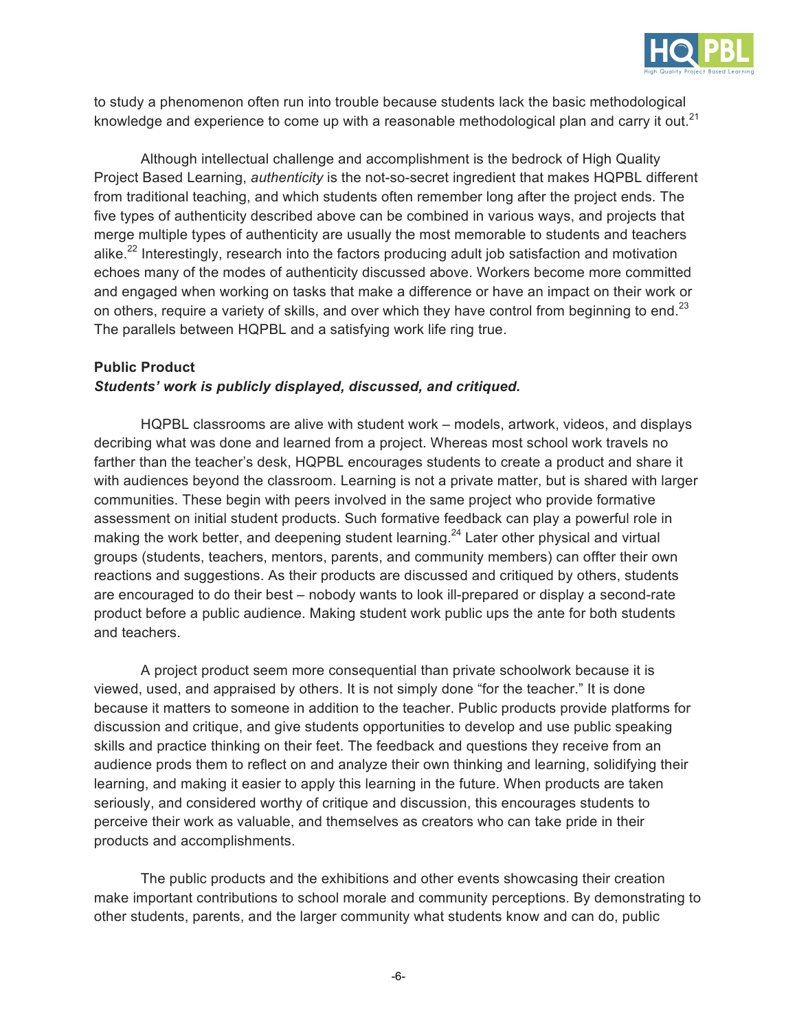

to study a phenomenon often run into trouble because students lack the basic methodological knowledge and experience to come up with a reasonable methodological plan and carry it out. $21$ 

Although intellectual challenge and accomplishment is the bedrock of High Quality Project Based Learning, *authenticity* is the not-so-secret ingredient that makes HQPBL different from traditional teaching, and which students often remember long after the project ends. The five types of authenticity described above can be combined in various ways, and projects that merge multiple types of authenticity are usually the most memorable to students and teachers alike. $^{22}$  Interestingly, research into the factors producing adult job satisfaction and motivation echoes many of the modes of authenticity discussed above. Workers become more committed and engaged when working on tasks that make a difference or have an impact on their work or on others, require a variety of skills, and over which they have control from beginning to end.<sup>23</sup> The parallels between HQPBL and a satisfying work life ring true.

#### **Public Product**

#### *Students' work is publicly displayed, discussed, and critiqued.*

HQPBL classrooms are alive with student work – models, artwork, videos, and displays decribing what was done and learned from a project. Whereas most school work travels no farther than the teacher's desk, HQPBL encourages students to create a product and share it with audiences beyond the classroom. Learning is not a private matter, but is shared with larger communities. These begin with peers involved in the same project who provide formative assessment on initial student products. Such formative feedback can play a powerful role in making the work better, and deepening student learning.<sup>24</sup> Later other physical and virtual groups (students, teachers, mentors, parents, and community members) can offter their own reactions and suggestions. As their products are discussed and critiqued by others, students are encouraged to do their best – nobody wants to look ill-prepared or display a second-rate product before a public audience. Making student work public ups the ante for both students and teachers.

A project product seem more consequential than private schoolwork because it is viewed, used, and appraised by others. It is not simply done "for the teacher." It is done because it matters to someone in addition to the teacher. Public products provide platforms for discussion and critique, and give students opportunities to develop and use public speaking skills and practice thinking on their feet. The feedback and questions they receive from an audience prods them to reflect on and analyze their own thinking and learning, solidifying their learning, and making it easier to apply this learning in the future. When products are taken seriously, and considered worthy of critique and discussion, this encourages students to perceive their work as valuable, and themselves as creators who can take pride in their products and accomplishments.

The public products and the exhibitions and other events showcasing their creation make important contributions to school morale and community perceptions. By demonstrating to other students, parents, and the larger community what students know and can do, public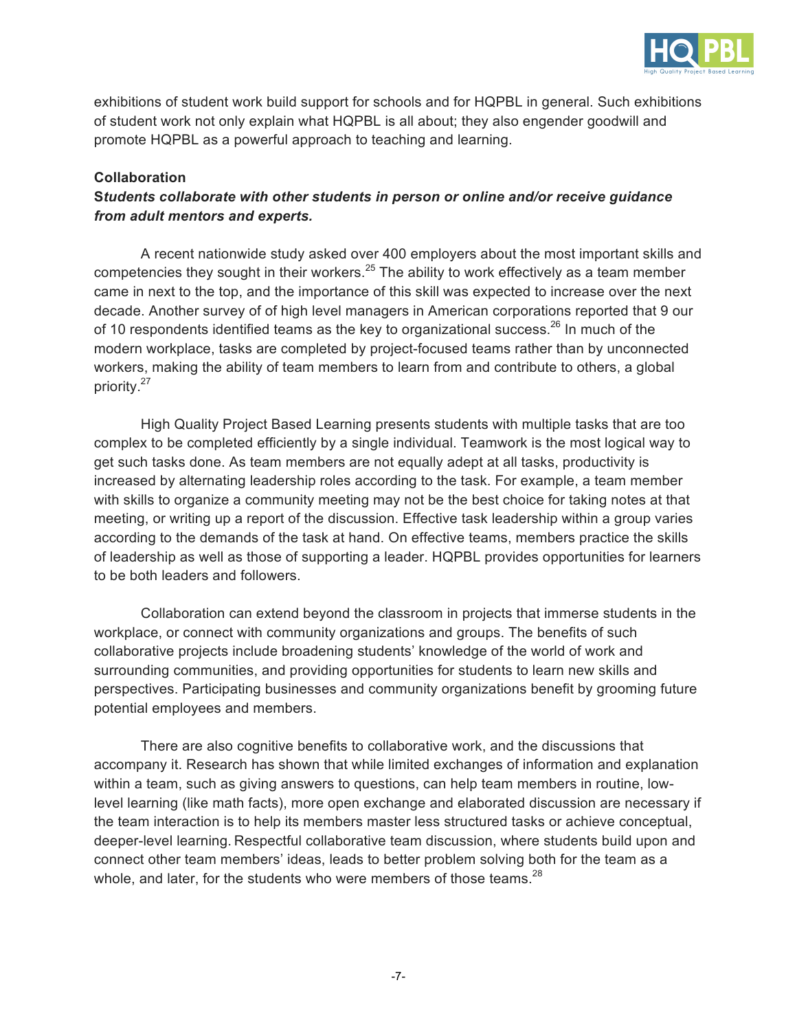

exhibitions of student work build support for schools and for HQPBL in general. Such exhibitions of student work not only explain what HQPBL is all about; they also engender goodwill and promote HQPBL as a powerful approach to teaching and learning.

### **Collaboration**

## **S***tudents collaborate with other students in person or online and/or receive guidance from adult mentors and experts.*

A recent nationwide study asked over 400 employers about the most important skills and competencies they sought in their workers. $25$  The ability to work effectively as a team member came in next to the top, and the importance of this skill was expected to increase over the next decade. Another survey of of high level managers in American corporations reported that 9 our of 10 respondents identified teams as the key to organizational success.<sup>26</sup> In much of the modern workplace, tasks are completed by project-focused teams rather than by unconnected workers, making the ability of team members to learn from and contribute to others, a global priority. 27

High Quality Project Based Learning presents students with multiple tasks that are too complex to be completed efficiently by a single individual. Teamwork is the most logical way to get such tasks done. As team members are not equally adept at all tasks, productivity is increased by alternating leadership roles according to the task. For example, a team member with skills to organize a community meeting may not be the best choice for taking notes at that meeting, or writing up a report of the discussion. Effective task leadership within a group varies according to the demands of the task at hand. On effective teams, members practice the skills of leadership as well as those of supporting a leader. HQPBL provides opportunities for learners to be both leaders and followers.

Collaboration can extend beyond the classroom in projects that immerse students in the workplace, or connect with community organizations and groups. The benefits of such collaborative projects include broadening students' knowledge of the world of work and surrounding communities, and providing opportunities for students to learn new skills and perspectives. Participating businesses and community organizations benefit by grooming future potential employees and members.

There are also cognitive benefits to collaborative work, and the discussions that accompany it. Research has shown that while limited exchanges of information and explanation within a team, such as giving answers to questions, can help team members in routine, lowlevel learning (like math facts), more open exchange and elaborated discussion are necessary if the team interaction is to help its members master less structured tasks or achieve conceptual, deeper-level learning. Respectful collaborative team discussion, where students build upon and connect other team members' ideas, leads to better problem solving both for the team as a whole, and later, for the students who were members of those teams. $^{28}$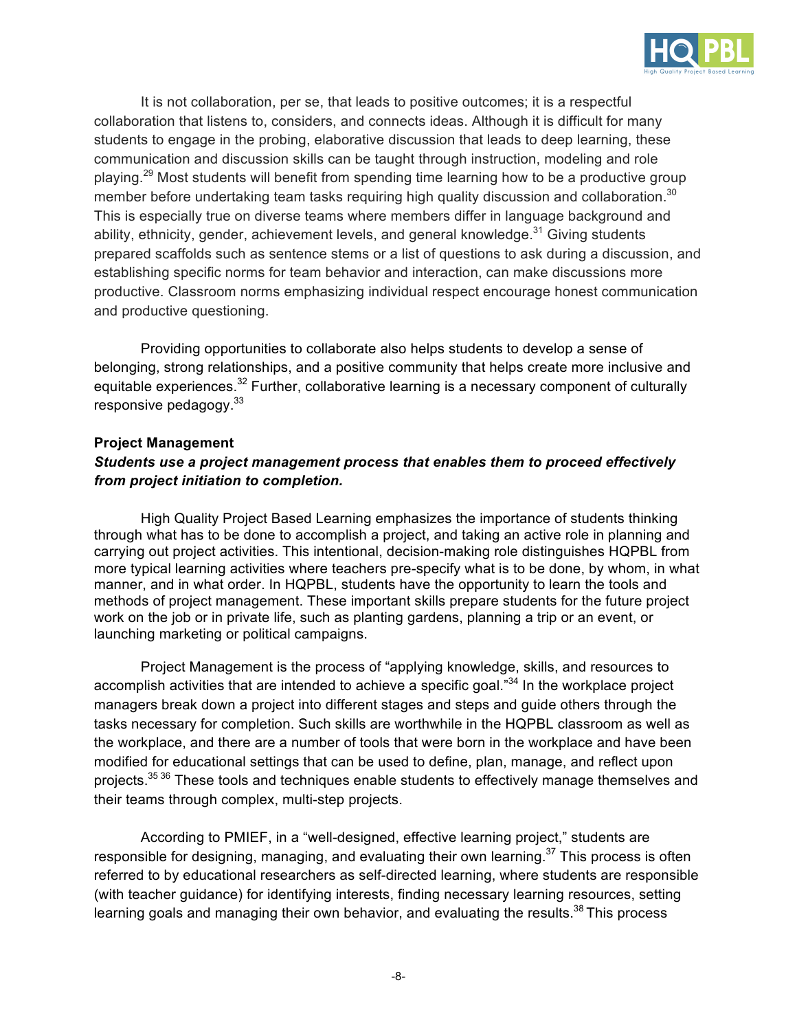

It is not collaboration, per se, that leads to positive outcomes; it is a respectful collaboration that listens to, considers, and connects ideas. Although it is difficult for many students to engage in the probing, elaborative discussion that leads to deep learning, these communication and discussion skills can be taught through instruction, modeling and role playing.<sup>29</sup> Most students will benefit from spending time learning how to be a productive group member before undertaking team tasks requiring high quality discussion and collaboration.<sup>30</sup> This is especially true on diverse teams where members differ in language background and ability, ethnicity, gender, achievement levels, and general knowledge.<sup>31</sup> Giving students prepared scaffolds such as sentence stems or a list of questions to ask during a discussion, and establishing specific norms for team behavior and interaction, can make discussions more productive. Classroom norms emphasizing individual respect encourage honest communication and productive questioning.

Providing opportunities to collaborate also helps students to develop a sense of belonging, strong relationships, and a positive community that helps create more inclusive and equitable experiences.<sup>32</sup> Further, collaborative learning is a necessary component of culturally responsive pedagogy.<sup>33</sup>

#### **Project Management**

### *Students use a project management process that enables them to proceed effectively from project initiation to completion.*

High Quality Project Based Learning emphasizes the importance of students thinking through what has to be done to accomplish a project, and taking an active role in planning and carrying out project activities. This intentional, decision-making role distinguishes HQPBL from more typical learning activities where teachers pre-specify what is to be done, by whom, in what manner, and in what order. In HQPBL, students have the opportunity to learn the tools and methods of project management. These important skills prepare students for the future project work on the job or in private life, such as planting gardens, planning a trip or an event, or launching marketing or political campaigns.

Project Management is the process of "applying knowledge, skills, and resources to accomplish activities that are intended to achieve a specific goal."34 In the workplace project managers break down a project into different stages and steps and guide others through the tasks necessary for completion. Such skills are worthwhile in the HQPBL classroom as well as the workplace, and there are a number of tools that were born in the workplace and have been modified for educational settings that can be used to define, plan, manage, and reflect upon projects.<sup>35 36</sup> These tools and techniques enable students to effectively manage themselves and their teams through complex, multi-step projects.

According to PMIEF, in a "well-designed, effective learning project," students are responsible for designing, managing, and evaluating their own learning.<sup>37</sup> This process is often referred to by educational researchers as self-directed learning, where students are responsible (with teacher guidance) for identifying interests, finding necessary learning resources, setting learning goals and managing their own behavior, and evaluating the results.<sup>38</sup> This process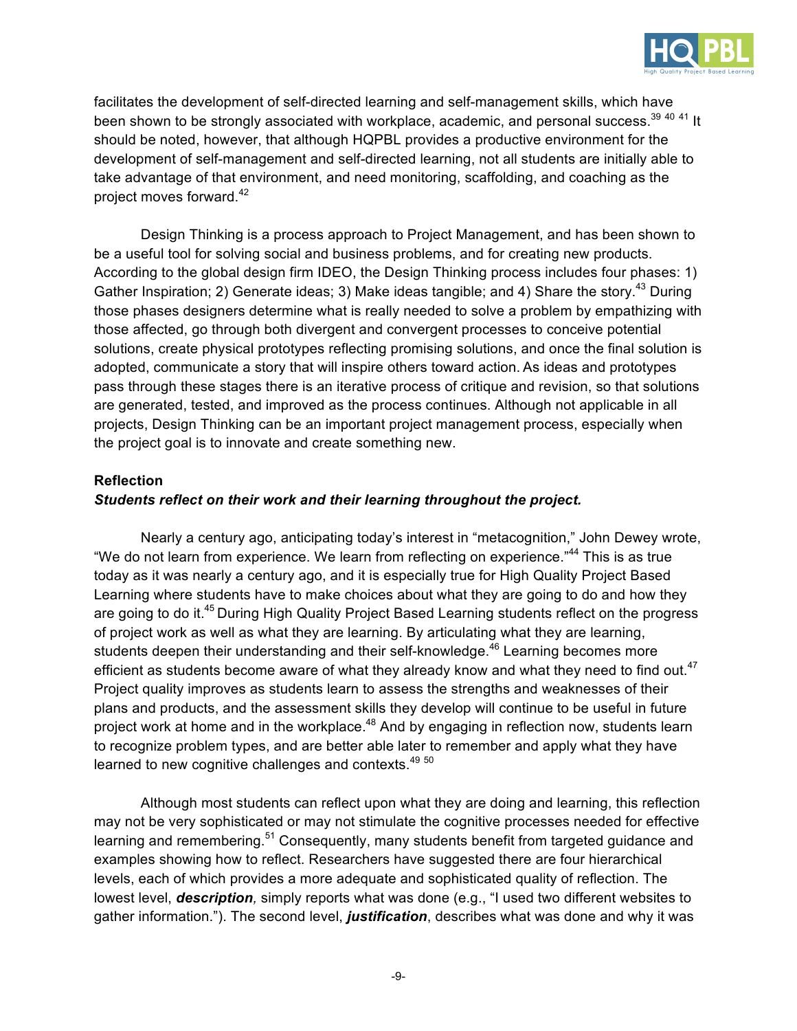

facilitates the development of self-directed learning and self-management skills, which have been shown to be strongly associated with workplace, academic, and personal success.<sup>39 40 41</sup> It should be noted, however, that although HQPBL provides a productive environment for the development of self-management and self-directed learning, not all students are initially able to take advantage of that environment, and need monitoring, scaffolding, and coaching as the project moves forward. 42

Design Thinking is a process approach to Project Management, and has been shown to be a useful tool for solving social and business problems, and for creating new products. According to the global design firm IDEO, the Design Thinking process includes four phases: 1) Gather Inspiration; 2) Generate ideas; 3) Make ideas tangible; and 4) Share the story.<sup>43</sup> During those phases designers determine what is really needed to solve a problem by empathizing with those affected, go through both divergent and convergent processes to conceive potential solutions, create physical prototypes reflecting promising solutions, and once the final solution is adopted, communicate a story that will inspire others toward action. As ideas and prototypes pass through these stages there is an iterative process of critique and revision, so that solutions are generated, tested, and improved as the process continues. Although not applicable in all projects, Design Thinking can be an important project management process, especially when the project goal is to innovate and create something new.

#### **Reflection**

### *Students reflect on their work and their learning throughout the project.*

Nearly a century ago, anticipating today's interest in "metacognition," John Dewey wrote, "We do not learn from experience. We learn from reflecting on experience."<sup>44</sup> This is as true today as it was nearly a century ago, and it is especially true for High Quality Project Based Learning where students have to make choices about what they are going to do and how they are going to do it.<sup>45</sup> During High Quality Project Based Learning students reflect on the progress of project work as well as what they are learning. By articulating what they are learning, students deepen their understanding and their self-knowledge.<sup>46</sup> Learning becomes more efficient as students become aware of what they already know and what they need to find out.<sup>47</sup> Project quality improves as students learn to assess the strengths and weaknesses of their plans and products, and the assessment skills they develop will continue to be useful in future project work at home and in the workplace.<sup>48</sup> And by engaging in reflection now, students learn to recognize problem types, and are better able later to remember and apply what they have learned to new cognitive challenges and contexts.<sup>49 50</sup>

Although most students can reflect upon what they are doing and learning, this reflection may not be very sophisticated or may not stimulate the cognitive processes needed for effective learning and remembering.<sup>51</sup> Consequently, many students benefit from targeted guidance and examples showing how to reflect. Researchers have suggested there are four hierarchical levels, each of which provides a more adequate and sophisticated quality of reflection. The lowest level, *description,* simply reports what was done (e.g., "I used two different websites to gather information."). The second level, *justification*, describes what was done and why it was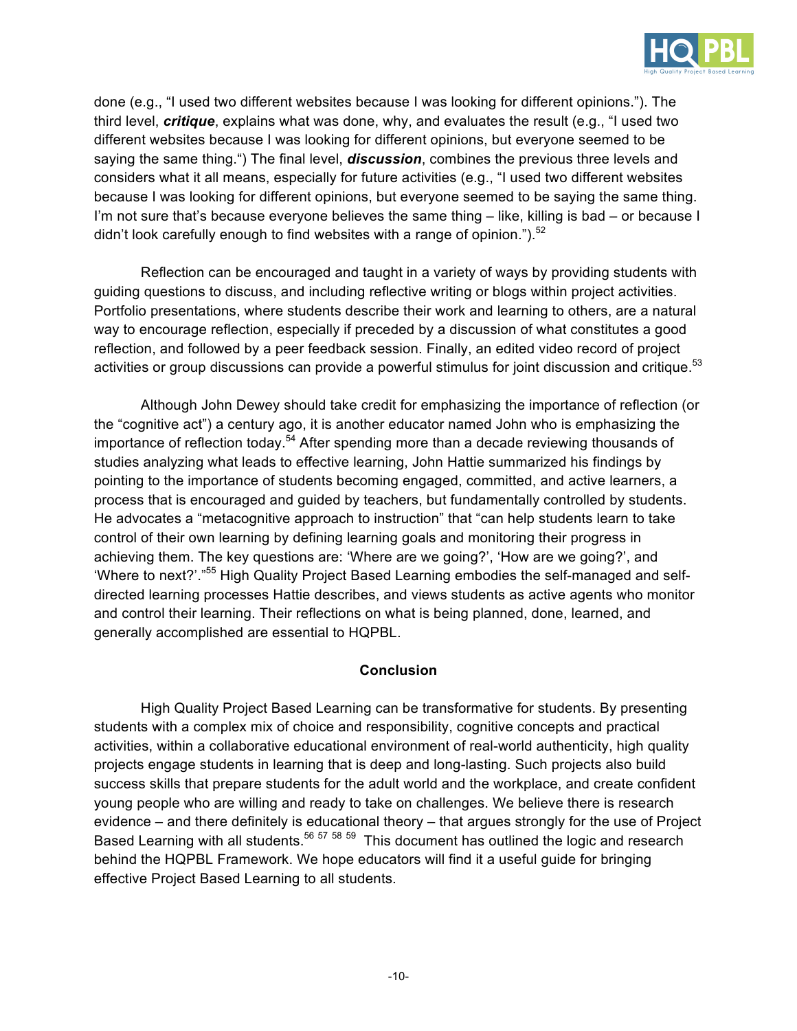

done (e.g., "I used two different websites because I was looking for different opinions."). The third level, *critique*, explains what was done, why, and evaluates the result (e.g., "I used two different websites because I was looking for different opinions, but everyone seemed to be saying the same thing.") The final level, *discussion*, combines the previous three levels and considers what it all means, especially for future activities (e.g., "I used two different websites because I was looking for different opinions, but everyone seemed to be saying the same thing. I'm not sure that's because everyone believes the same thing – like, killing is bad – or because I didn't look carefully enough to find websites with a range of opinion.").<sup>52</sup>

Reflection can be encouraged and taught in a variety of ways by providing students with guiding questions to discuss, and including reflective writing or blogs within project activities. Portfolio presentations, where students describe their work and learning to others, are a natural way to encourage reflection, especially if preceded by a discussion of what constitutes a good reflection, and followed by a peer feedback session. Finally, an edited video record of project activities or group discussions can provide a powerful stimulus for joint discussion and critique.<sup>53</sup>

Although John Dewey should take credit for emphasizing the importance of reflection (or the "cognitive act") a century ago, it is another educator named John who is emphasizing the importance of reflection today.<sup>54</sup> After spending more than a decade reviewing thousands of studies analyzing what leads to effective learning, John Hattie summarized his findings by pointing to the importance of students becoming engaged, committed, and active learners, a process that is encouraged and guided by teachers, but fundamentally controlled by students. He advocates a "metacognitive approach to instruction" that "can help students learn to take control of their own learning by defining learning goals and monitoring their progress in achieving them. The key questions are: 'Where are we going?', 'How are we going?', and 'Where to next?'."<sup>55</sup> High Quality Project Based Learning embodies the self-managed and selfdirected learning processes Hattie describes, and views students as active agents who monitor and control their learning. Their reflections on what is being planned, done, learned, and generally accomplished are essential to HQPBL.

#### **Conclusion**

High Quality Project Based Learning can be transformative for students. By presenting students with a complex mix of choice and responsibility, cognitive concepts and practical activities, within a collaborative educational environment of real-world authenticity, high quality projects engage students in learning that is deep and long-lasting. Such projects also build success skills that prepare students for the adult world and the workplace, and create confident young people who are willing and ready to take on challenges. We believe there is research evidence – and there definitely is educational theory – that argues strongly for the use of Project Based Learning with all students.<sup>56 57</sup> 58 59 This document has outlined the logic and research behind the HQPBL Framework. We hope educators will find it a useful guide for bringing effective Project Based Learning to all students.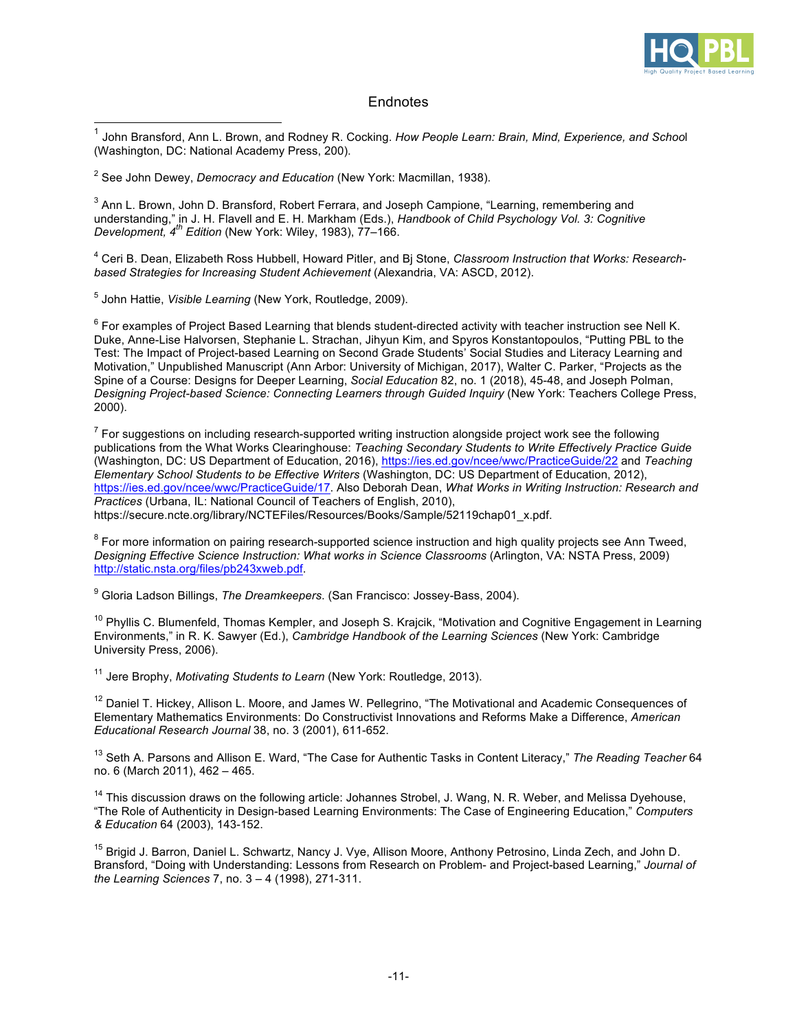

#### **Endnotes**

 1 John Bransford, Ann L. Brown, and Rodney R. Cocking. *How People Learn: Brain, Mind, Experience, and Schoo*<sup>l</sup> (Washington, DC: National Academy Press, 200).

<sup>2</sup> See John Dewey, *Democracy and Education* (New York: Macmillan, 1938).

 $3$  Ann L. Brown, John D. Bransford, Robert Ferrara, and Joseph Campione, "Learning, remembering and understanding," in J. H. Flavell and E. H. Markham (Eds.), *Handbook of Child Psychology Vol. 3: Cognitive Development, 4th Edition* (New York: Wiley, 1983), 77–166.

<sup>4</sup> Ceri B. Dean, Elizabeth Ross Hubbell, Howard Pitler, and Bj Stone, *Classroom Instruction that Works: Researchbased Strategies for Increasing Student Achievement* (Alexandria, VA: ASCD, 2012).

<sup>5</sup> John Hattie, *Visible Learning* (New York, Routledge, 2009).

 $6$  For examples of Project Based Learning that blends student-directed activity with teacher instruction see Nell K. Duke, Anne-Lise Halvorsen, Stephanie L. Strachan, Jihyun Kim, and Spyros Konstantopoulos, "Putting PBL to the Test: The Impact of Project-based Learning on Second Grade Students' Social Studies and Literacy Learning and Motivation," Unpublished Manuscript (Ann Arbor: University of Michigan, 2017), Walter C. Parker, "Projects as the Spine of a Course: Designs for Deeper Learning, *Social Education* 82, no. 1 (2018), 45-48, and Joseph Polman, *Designing Project-based Science: Connecting Learners through Guided Inquiry* (New York: Teachers College Press, 2000).

 $7$  For suggestions on including research-supported writing instruction alongside project work see the following publications from the What Works Clearinghouse: *Teaching Secondary Students to Write Effectively Practice Guide* (Washington, DC: US Department of Education, 2016), https://ies.ed.gov/ncee/wwc/PracticeGuide/22 and *Teaching Elementary School Students to be Effective Writers* (Washington, DC: US Department of Education, 2012), https://ies.ed.gov/ncee/wwc/PracticeGuide/17. Also Deborah Dean, *What Works in Writing Instruction: Research and Practices* (Urbana, IL: National Council of Teachers of English, 2010), https://secure.ncte.org/library/NCTEFiles/Resources/Books/Sample/52119chap01\_x.pdf.

 $8$  For more information on pairing research-supported science instruction and high quality projects see Ann Tweed, *Designing Effective Science Instruction: What works in Science Classrooms* (Arlington, VA: NSTA Press, 2009) http://static.nsta.org/files/pb243xweb.pdf.

<sup>9</sup> Gloria Ladson Billings, *The Dreamkeepers*. (San Francisco: Jossey-Bass, 2004).

<sup>10</sup> Phyllis C. Blumenfeld, Thomas Kempler, and Joseph S. Krajcik, "Motivation and Cognitive Engagement in Learning Environments," in R. K. Sawyer (Ed.), *Cambridge Handbook of the Learning Sciences* (New York: Cambridge University Press, 2006).

<sup>11</sup> Jere Brophy, *Motivating Students to Learn* (New York: Routledge, 2013).

 $12$  Daniel T. Hickey, Allison L. Moore, and James W. Pellegrino, "The Motivational and Academic Consequences of Elementary Mathematics Environments: Do Constructivist Innovations and Reforms Make a Difference, *American Educational Research Journal* 38, no. 3 (2001), 611-652.

<sup>13</sup> Seth A. Parsons and Allison E. Ward, "The Case for Authentic Tasks in Content Literacy," *The Reading Teacher* 64 no. 6 (March 2011), 462 – 465.

<sup>14</sup> This discussion draws on the following article: Johannes Strobel, J. Wang, N. R. Weber, and Melissa Dyehouse, "The Role of Authenticity in Design-based Learning Environments: The Case of Engineering Education," *Computers & Education* 64 (2003), 143-152.

<sup>15</sup> Brigid J. Barron, Daniel L. Schwartz, Nancy J. Vye, Allison Moore, Anthony Petrosino, Linda Zech, and John D. Bransford, "Doing with Understanding: Lessons from Research on Problem- and Project-based Learning," *Journal of the Learning Sciences* 7, no. 3 – 4 (1998), 271-311.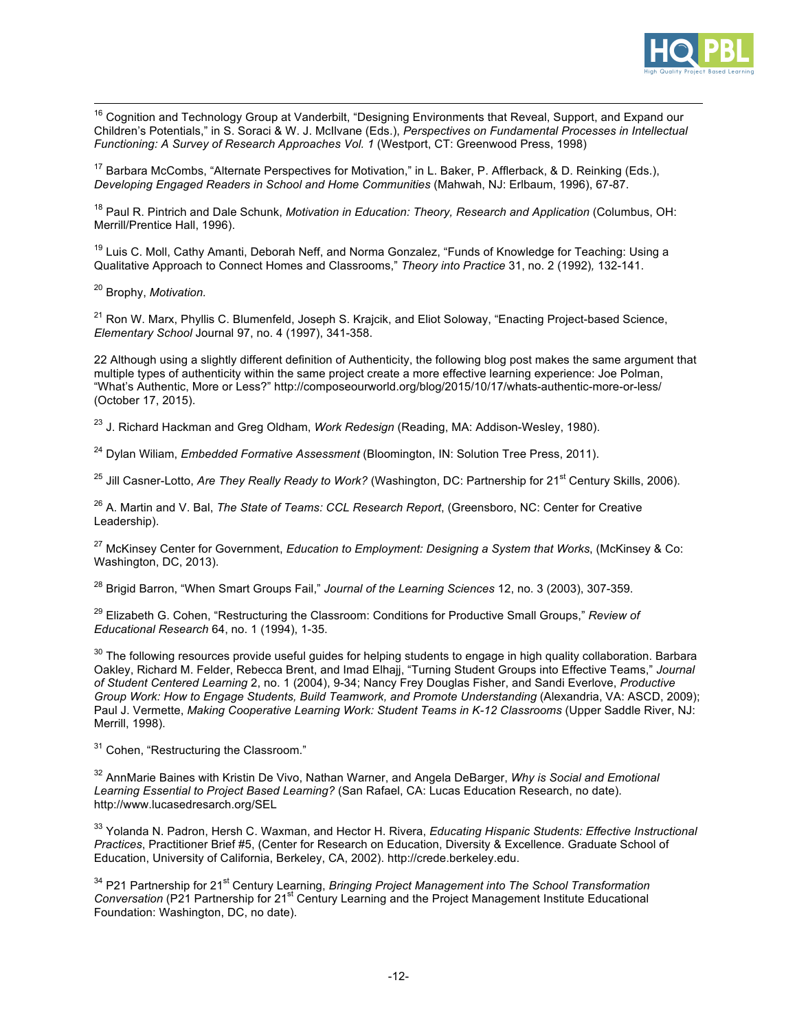

<sup>16</sup> Cognition and Technology Group at Vanderbilt, "Designing Environments that Reveal, Support, and Expand our Children's Potentials," in S. Soraci & W. J. McIlvane (Eds.), *Perspectives on Fundamental Processes in Intellectual Functioning: A Survey of Research Approaches Vol. 1* (Westport, CT: Greenwood Press, 1998)

<sup>17</sup> Barbara McCombs, "Alternate Perspectives for Motivation," in L. Baker, P. Afflerback, & D. Reinking (Eds.), *Developing Engaged Readers in School and Home Communities* (Mahwah, NJ: Erlbaum, 1996), 67-87.

<sup>18</sup> Paul R. Pintrich and Dale Schunk, *Motivation in Education: Theory, Research and Application* (Columbus, OH: Merrill/Prentice Hall, 1996).

<sup>19</sup> Luis C. Moll, Cathy Amanti, Deborah Neff, and Norma Gonzalez, "Funds of Knowledge for Teaching: Using a Qualitative Approach to Connect Homes and Classrooms," *Theory into Practice* 31, no. 2 (1992)*,* 132-141.

<sup>20</sup> Brophy, *Motivation.*

<sup>21</sup> Ron W. Marx, Phyllis C. Blumenfeld, Joseph S. Krajcik, and Eliot Soloway, "Enacting Project-based Science, *Elementary School* Journal 97, no. 4 (1997), 341-358.

22 Although using a slightly different definition of Authenticity, the following blog post makes the same argument that multiple types of authenticity within the same project create a more effective learning experience: Joe Polman, "What's Authentic, More or Less?" http://composeourworld.org/blog/2015/10/17/whats-authentic-more-or-less/ (October 17, 2015).

<sup>23</sup> J. Richard Hackman and Greg Oldham, *Work Redesign* (Reading, MA: Addison-Wesley, 1980).

<sup>24</sup> Dylan Wiliam, *Embedded Formative Assessment* (Bloomington, IN: Solution Tree Press, 2011).

<sup>25</sup> Jill Casner-Lotto, *Are They Really Ready to Work?* (Washington, DC: Partnership for 21<sup>st</sup> Century Skills, 2006).

<sup>26</sup> A. Martin and V. Bal, *The State of Teams: CCL Research Report*, (Greensboro, NC: Center for Creative Leadership).

<sup>27</sup> McKinsey Center for Government, *Education to Employment: Designing a System that Works*, (McKinsey & Co: Washington, DC, 2013).

<sup>28</sup> Brigid Barron, "When Smart Groups Fail," *Journal of the Learning Sciences* 12, no. 3 (2003), 307-359.

<sup>29</sup> Elizabeth G. Cohen, "Restructuring the Classroom: Conditions for Productive Small Groups," *Review of Educational Research* 64, no. 1 (1994), 1-35.

<sup>30</sup> The following resources provide useful guides for helping students to engage in high quality collaboration. Barbara Oakley, Richard M. Felder, Rebecca Brent, and Imad Elhajj, "Turning Student Groups into Effective Teams," *Journal of Student Centered Learning* 2, no. 1 (2004), 9-34; Nancy Frey Douglas Fisher, and Sandi Everlove, *Productive Group Work: How to Engage Students, Build Teamwork, and Promote Understanding* (Alexandria, VA: ASCD, 2009); Paul J. Vermette, *Making Cooperative Learning Work: Student Teams in K-12 Classrooms* (Upper Saddle River, NJ: Merrill, 1998).

<sup>31</sup> Cohen. "Restructuring the Classroom."

<sup>32</sup> AnnMarie Baines with Kristin De Vivo, Nathan Warner, and Angela DeBarger, *Why is Social and Emotional Learning Essential to Project Based Learning?* (San Rafael, CA: Lucas Education Research, no date). http://www.lucasedresarch.org/SEL

<sup>33</sup> Yolanda N. Padron, Hersh C. Waxman, and Hector H. Rivera, *Educating Hispanic Students: Effective Instructional Practices*, Practitioner Brief #5, (Center for Research on Education, Diversity & Excellence. Graduate School of Education, University of California, Berkeley, CA, 2002). http://crede.berkeley.edu.

<sup>34</sup> P21 Partnership for 21<sup>st</sup> Century Learning, *Bringing Project Management into The School Transformation Conversation* (P21 Partnership for 21<sup>st</sup> Century Learning and the Project Management Institute Educational Foundation: Washington, DC, no date).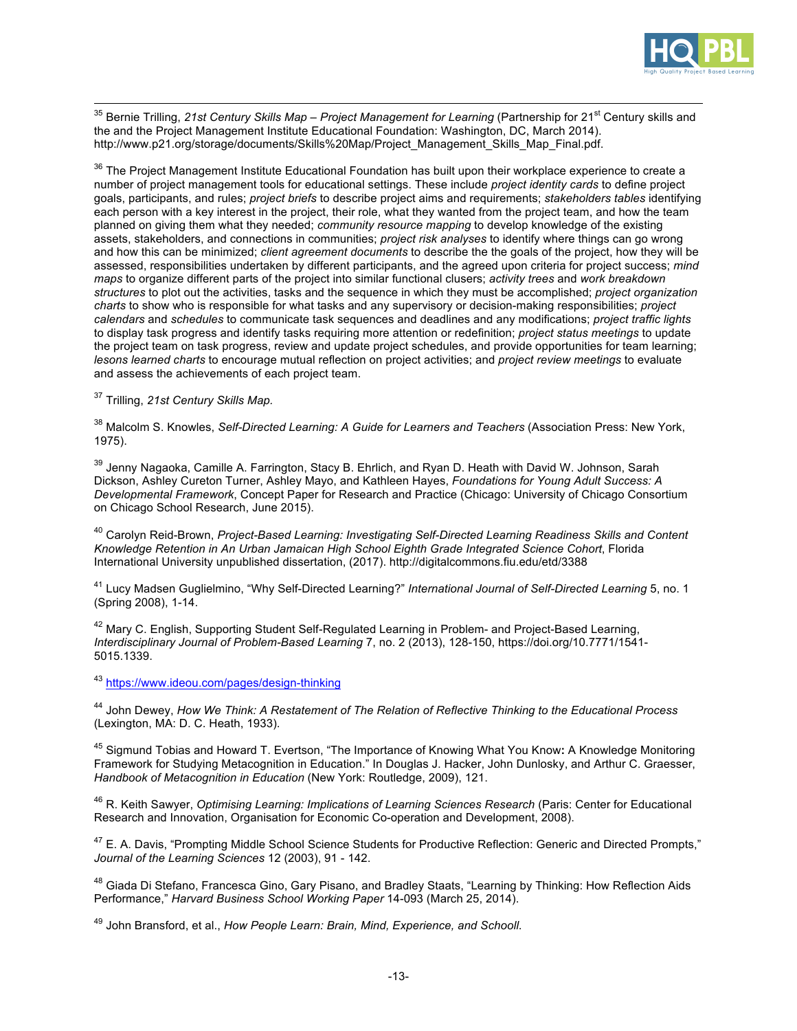

<sup>35</sup> Bernie Trilling, 21st Century Skills Map – Project Management for Learning (Partnership for 21<sup>st</sup> Century skills and the and the Project Management Institute Educational Foundation: Washington, DC, March 2014). http://www.p21.org/storage/documents/Skills%20Map/Project\_Management\_Skills\_Map\_Final.pdf.

<sup>36</sup> The Project Management Institute Educational Foundation has built upon their workplace experience to create a number of project management tools for educational settings. These include *project identity cards* to define project goals, participants, and rules; *project briefs* to describe project aims and requirements; *stakeholders tables* identifying each person with a key interest in the project, their role, what they wanted from the project team, and how the team planned on giving them what they needed; *community resource mapping* to develop knowledge of the existing assets, stakeholders, and connections in communities; *project risk analyses* to identify where things can go wrong and how this can be minimized; *client agreement documents* to describe the the goals of the project, how they will be assessed, responsibilities undertaken by different participants, and the agreed upon criteria for project success; *mind maps* to organize different parts of the project into similar functional clusers; *activity trees* and *work breakdown structures* to plot out the activities, tasks and the sequence in which they must be accomplished; *project organization charts* to show who is responsible for what tasks and any supervisory or decision-making responsibilities; *project calendars* and *schedules* to communicate task sequences and deadlines and any modifications; *project traffic lights* to display task progress and identify tasks requiring more attention or redefinition; *project status meetings* to update the project team on task progress, review and update project schedules, and provide opportunities for team learning; *lesons learned charts* to encourage mutual reflection on project activities; and *project review meetings* to evaluate and assess the achievements of each project team.

<sup>37</sup> Trilling, *21st Century Skills Map.*

<sup>38</sup> Malcolm S. Knowles, *Self-Directed Learning: A Guide for Learners and Teachers (Association Press: New York,* 1975).

<sup>39</sup> Jenny Nagaoka, Camille A. Farrington, Stacy B. Ehrlich, and Ryan D. Heath with David W. Johnson, Sarah Dickson, Ashley Cureton Turner, Ashley Mayo, and Kathleen Hayes, *Foundations for Young Adult Success: A Developmental Framework*, Concept Paper for Research and Practice (Chicago: University of Chicago Consortium on Chicago School Research, June 2015).

<sup>40</sup> Carolyn Reid-Brown, *Project-Based Learning: Investigating Self-Directed Learning Readiness Skills and Content Knowledge Retention in An Urban Jamaican High School Eighth Grade Integrated Science Cohort*, Florida International University unpublished dissertation, (2017). http://digitalcommons.fiu.edu/etd/3388

<sup>41</sup> Lucy Madsen Guglielmino, "Why Self-Directed Learning?" *International Journal of Self-Directed Learning* 5, no. 1 (Spring 2008), 1-14.

<sup>42</sup> Mary C. English, Supporting Student Self-Regulated Learning in Problem- and Project-Based Learning, *Interdisciplinary Journal of Problem-Based Learning* 7, no. 2 (2013), 128-150, https://doi.org/10.7771/1541- 5015.1339.

<sup>43</sup> https://www.ideou.com/pages/design-thinking

<sup>44</sup> John Dewey, *How We Think: A Restatement of The Relation of Reflective Thinking to the Educational Process* (Lexington, MA: D. C. Heath, 1933).

<sup>45</sup> Sigmund Tobias and Howard T. Evertson, "The Importance of Knowing What You Know**:** A Knowledge Monitoring Framework for Studying Metacognition in Education." In Douglas J. Hacker, John Dunlosky, and Arthur C. Graesser, *Handbook of Metacognition in Education* (New York: Routledge, 2009), 121.

<sup>46</sup> R. Keith Sawyer, *Optimising Learning: Implications of Learning Sciences Research* (Paris: Center for Educational Research and Innovation, Organisation for Economic Co-operation and Development, 2008).

<sup>47</sup> E. A. Davis, "Prompting Middle School Science Students for Productive Reflection: Generic and Directed Prompts," *Journal of the Learning Sciences* 12 (2003), 91 - 142.

<sup>48</sup> Giada Di Stefano, Francesca Gino, Gary Pisano, and Bradley Staats, "Learning by Thinking: How Reflection Aids Performance," *Harvard Business School Working Paper* 14-093 (March 25, 2014).

<sup>49</sup> John Bransford, et al., *How People Learn: Brain, Mind, Experience, and Schooll*.